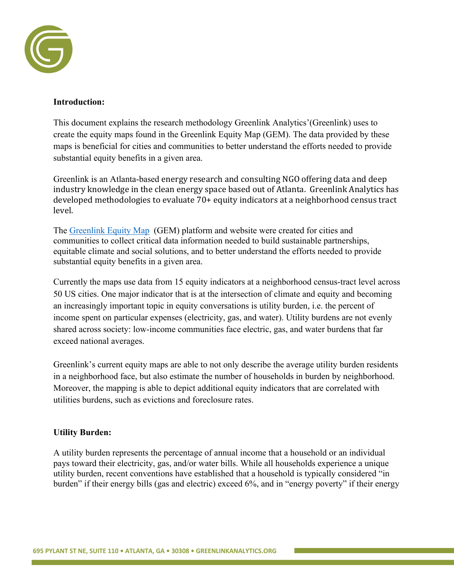

## **Introduction:**

This document explains the research methodology Greenlink Analytics'(Greenlink) uses to create the equity maps found in the Greenlink Equity Map (GEM). The data provided by these maps is beneficial for cities and communities to better understand the efforts needed to provide substantial equity benefits in a given area.

Greenlink is an Atlanta-based energy research and consulting NGO offering data and deep industry knowledge in the clean energy space based out of Atlanta. Greenlink Analytics has developed methodologies to evaluate 70+ equity indicators at a neighborhood census tract level.

The Greenlink Equity Map (GEM) platform and website were created for cities and communities to collect critical data information needed to build sustainable partnerships, equitable climate and social solutions, and to better understand the efforts needed to provide substantial equity benefits in a given area.

Currently the maps use data from 15 equity indicators at a neighborhood census-tract level across 50 US cities. One major indicator that is at the intersection of climate and equity and becoming an increasingly important topic in equity conversations is utility burden, i.e. the percent of income spent on particular expenses (electricity, gas, and water). Utility burdens are not evenly shared across society: low-income communities face electric, gas, and water burdens that far exceed national averages.

Greenlink's current equity maps are able to not only describe the average utility burden residents in a neighborhood face, but also estimate the number of households in burden by neighborhood. Moreover, the mapping is able to depict additional equity indicators that are correlated with utilities burdens, such as evictions and foreclosure rates.

## **Utility Burden:**

A utility burden represents the percentage of annual income that a household or an individual pays toward their electricity, gas, and/or water bills. While all households experience a unique utility burden, recent conventions have established that a household is typically considered "in burden" if their energy bills (gas and electric) exceed 6%, and in "energy poverty" if their energy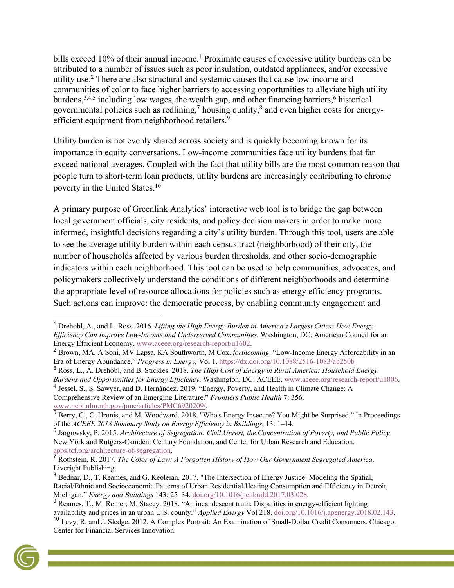bills exceed 10% of their annual income.<sup>1</sup> Proximate causes of excessive utility burdens can be attributed to a number of issues such as poor insulation, outdated appliances, and/or excessive utility use.2 There are also structural and systemic causes that cause low-income and communities of color to face higher barriers to accessing opportunities to alleviate high utility burdens,  $3,4,5$  including low wages, the wealth gap, and other financing barriers,  $6$  historical governmental policies such as redlining,<sup>7</sup> housing quality, $\frac{8}{3}$  and even higher costs for energyefficient equipment from neighborhood retailers.<sup>9</sup>

Utility burden is not evenly shared across society and is quickly becoming known for its importance in equity conversations. Low-income communities face utility burdens that far exceed national averages. Coupled with the fact that utility bills are the most common reason that people turn to short-term loan products, utility burdens are increasingly contributing to chronic poverty in the United States.10

A primary purpose of Greenlink Analytics' interactive web tool is to bridge the gap between local government officials, city residents, and policy decision makers in order to make more informed, insightful decisions regarding a city's utility burden. Through this tool, users are able to see the average utility burden within each census tract (neighborhood) of their city, the number of households affected by various burden thresholds, and other socio-demographic indicators within each neighborhood. This tool can be used to help communities, advocates, and policymakers collectively understand the conditions of different neighborhoods and determine the appropriate level of resource allocations for policies such as energy efficiency programs. Such actions can improve: the democratic process, by enabling community engagement and

<sup>3</sup> Ross, L., A. Drehobl, and B. Stickles. 2018. *The High Cost of Energy in Rural America: Household Energy Burdens and Opportunities for Energy Efficiency*. Washington, DC: ACEEE. www.aceee.org/research-report/u1806. <sup>4</sup> Jessel, S., S. Sawyer, and D. Hernández. 2019. "Energy, Poverty, and Health in Climate Change: A Comprehensive Review of an Emerging Literature." *Frontiers Public Health* 7: 356. www.ncbi.nlm.nih.gov/pmc/articles/PMC6920209/.

<sup>10</sup> Levy, R. and J. Sledge. 2012. A Complex Portrait: An Examination of Small-Dollar Credit Consumers. Chicago. Center for Financial Services Innovation.



<sup>1</sup> Drehobl, A., and L. Ross. 2016. *Lifting the High Energy Burden in America's Largest Cities: How Energy Efficiency Can Improve Low-Income and Underserved Communities*. Washington, DC: American Council for an Energy Efficient Economy. www.aceee.org/research-report/u1602.

<sup>2</sup> Brown, MA, A Soni, MV Lapsa, KA Southworth, M Cox. *forthcoming*. "Low-Income Energy Affordability in an Era of Energy Abundance," *Progress in Energy,* Vol 1. https://dx.doi.org/10.1088/2516-1083/ab250b

 $<sup>5</sup>$  Berry, C., C. Hronis, and M. Woodward. 2018. "Who's Energy Insecure? You Might be Surprised." In Proceedings</sup> of the *ACEEE 2018 Summary Study on Energy Efficiency in Buildings*, 13: 1–14.

<sup>6</sup> Jargowsky, P. 2015. *Architecture of Segregation: Civil Unrest, the Concentration of Poverty, and Public Policy*. New York and Rutgers-Camden: Century Foundation, and Center for Urban Research and Education. apps.tcf.org/architecture-of-segregation.

<sup>7</sup> Rothstein, R. 2017. *The Color of Law: A Forgotten History of How Our Government Segregated America*. Liveright Publishing.

<sup>8</sup> Bednar, D., T. Reames, and G. Keoleian. 2017. "The Intersection of Energy Justice: Modeling the Spatial, Racial/Ethnic and Socioeconomic Patterns of Urban Residential Heating Consumption and Efficiency in Detroit, Michigan." *Energy and Buildings* 143: 25–34. doi.org/10.1016/j.enbuild.2017.03.028.

<sup>&</sup>lt;sup>9</sup> Reames, T., M. Reiner, M. Stacey. 2018. "An incandescent truth: Disparities in energy-efficient lighting availability and prices in an urban U.S. county." *Applied Energy* Vol 218. doi.org/10.1016/j.apenergy.2018.02.143.